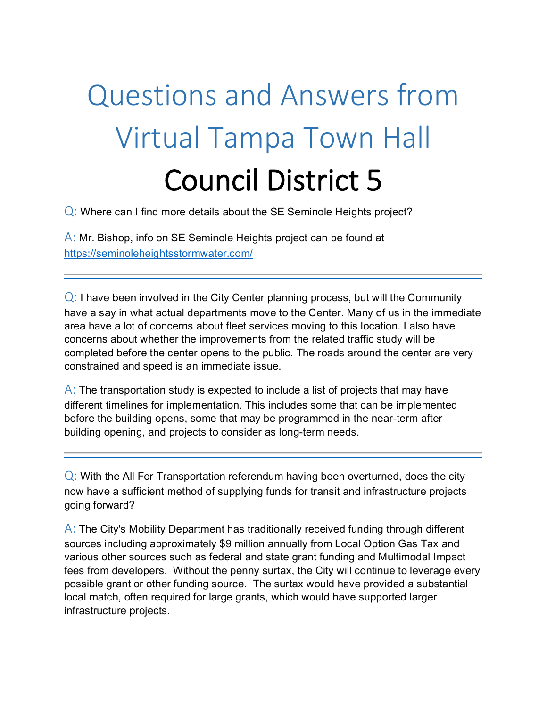## Questions and Answers from Virtual Tampa Town Hall Council District 5

Q: Where can I find more details about the SE Seminole Heights project?

 $\overline{A}$ : Mr. Bishop, info on SE Seminole Heights project can be found at <https://seminoleheightsstormwater.com/>

 $Q$ : I have been involved in the City Center planning process, but will the Community have a say in what actual departments move to the Center. Many of us in the immediate area have a lot of concerns about fleet services moving to this location. I also have concerns about whether the improvements from the related traffic study will be completed before the center opens to the public. The roads around the center are very constrained and speed is an immediate issue.

 $\overline{A}$ : The transportation study is expected to include a list of projects that may have different timelines for implementation. This includes some that can be implemented before the building opens, some that may be programmed in the near-term after building opening, and projects to consider as long-term needs.

 $Q$ : With the All For Transportation referendum having been overturned, does the city now have a sufficient method of supplying funds for transit and infrastructure projects going forward?

 $\overline{A}$ : The City's Mobility Department has traditionally received funding through different sources including approximately \$9 million annually from Local Option Gas Tax and various other sources such as federal and state grant funding and Multimodal Impact fees from developers. Without the penny surtax, the City will continue to leverage every possible grant or other funding source. The surtax would have provided a substantial local match, often required for large grants, which would have supported larger infrastructure projects.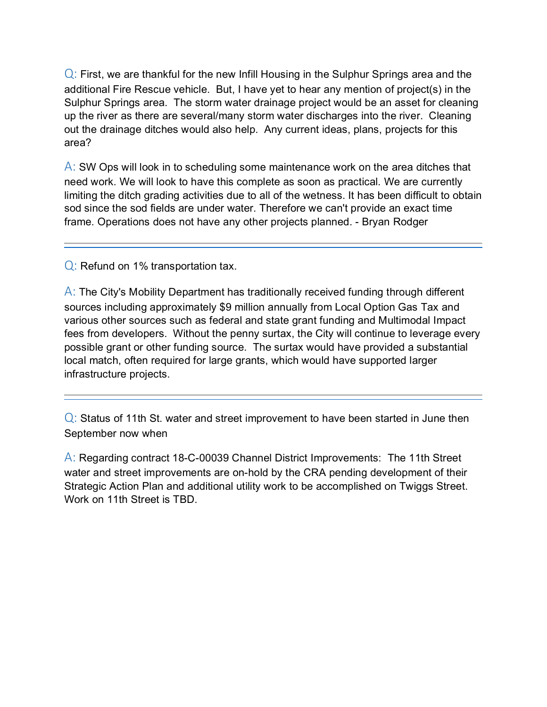$Q$ : First, we are thankful for the new Infill Housing in the Sulphur Springs area and the additional Fire Rescue vehicle. But, I have yet to hear any mention of project(s) in the Sulphur Springs area. The storm water drainage project would be an asset for cleaning up the river as there are several/many storm water discharges into the river. Cleaning out the drainage ditches would also help. Any current ideas, plans, projects for this area?

 $\overline{A}$ : SW Ops will look in to scheduling some maintenance work on the area ditches that need work. We will look to have this complete as soon as practical. We are currently limiting the ditch grading activities due to all of the wetness. It has been difficult to obtain sod since the sod fields are under water. Therefore we can't provide an exact time frame. Operations does not have any other projects planned. - Bryan Rodger

Q: Refund on 1% transportation tax.

 $\overline{A}$ : The City's Mobility Department has traditionally received funding through different sources including approximately \$9 million annually from Local Option Gas Tax and various other sources such as federal and state grant funding and Multimodal Impact fees from developers. Without the penny surtax, the City will continue to leverage every possible grant or other funding source. The surtax would have provided a substantial local match, often required for large grants, which would have supported larger infrastructure projects.

 $Q$ : Status of 11th St. water and street improvement to have been started in June then September now when

A: Regarding contract 18-C-00039 Channel District Improvements: The 11th Street water and street improvements are on-hold by the CRA pending development of their Strategic Action Plan and additional utility work to be accomplished on Twiggs Street. Work on 11th Street is TBD.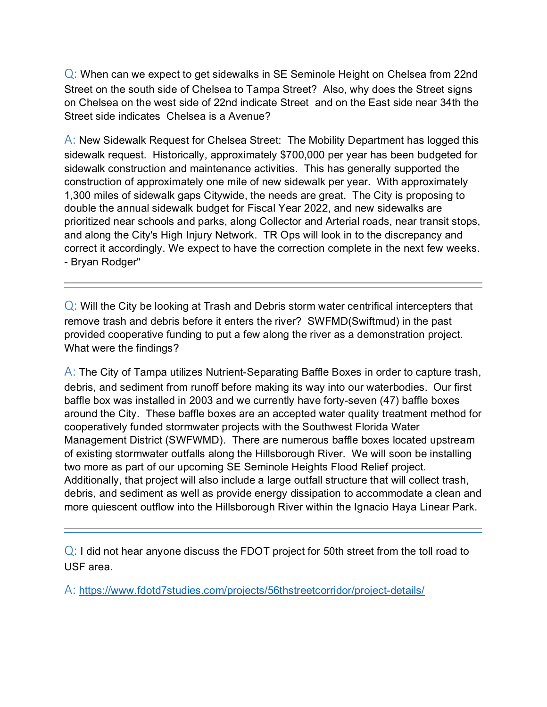Q: When can we expect to get sidewalks in SE Seminole Height on Chelsea from 22nd Street on the south side of Chelsea to Tampa Street? Also, why does the Street signs on Chelsea on the west side of 22nd indicate Street and on the East side near 34th the Street side indicates Chelsea is a Avenue?

A: New Sidewalk Request for Chelsea Street: The Mobility Department has logged this sidewalk request. Historically, approximately \$700,000 per year has been budgeted for sidewalk construction and maintenance activities. This has generally supported the construction of approximately one mile of new sidewalk per year. With approximately 1,300 miles of sidewalk gaps Citywide, the needs are great. The City is proposing to double the annual sidewalk budget for Fiscal Year 2022, and new sidewalks are prioritized near schools and parks, along Collector and Arterial roads, near transit stops, and along the City's High Injury Network. TR Ops will look in to the discrepancy and correct it accordingly. We expect to have the correction complete in the next few weeks. - Bryan Rodger"

 $Q$ : Will the City be looking at Trash and Debris storm water centrifical intercepters that remove trash and debris before it enters the river? SWFMD(Swiftmud) in the past provided cooperative funding to put a few along the river as a demonstration project. What were the findings?

 $\overline{A}$ : The City of Tampa utilizes Nutrient-Separating Baffle Boxes in order to capture trash, debris, and sediment from runoff before making its way into our waterbodies. Our first baffle box was installed in 2003 and we currently have forty-seven (47) baffle boxes around the City. These baffle boxes are an accepted water quality treatment method for cooperatively funded stormwater projects with the Southwest Florida Water Management District (SWFWMD). There are numerous baffle boxes located upstream of existing stormwater outfalls along the Hillsborough River. We will soon be installing two more as part of our upcoming SE Seminole Heights Flood Relief project. Additionally, that project will also include a large outfall structure that will collect trash, debris, and sediment as well as provide energy dissipation to accommodate a clean and more quiescent outflow into the Hillsborough River within the Ignacio Haya Linear Park.

 $Q$ : I did not hear anyone discuss the FDOT project for 50th street from the toll road to USF area.

A: <https://www.fdotd7studies.com/projects/56thstreetcorridor/project-details/>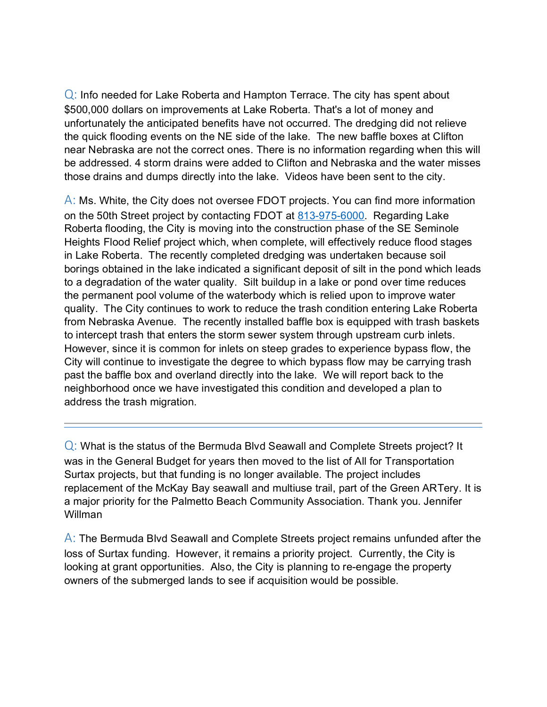Q: Info needed for Lake Roberta and Hampton Terrace. The city has spent about \$500,000 dollars on improvements at Lake Roberta. That's a lot of money and unfortunately the anticipated benefits have not occurred. The dredging did not relieve the quick flooding events on the NE side of the lake. The new baffle boxes at Clifton near Nebraska are not the correct ones. There is no information regarding when this will be addressed. 4 storm drains were added to Clifton and Nebraska and the water misses those drains and dumps directly into the lake. Videos have been sent to the city.

 $\overline{A}$ : Ms. White, the City does not oversee FDOT projects. You can find more information on the 50th Street project by contacting FDOT at [813-975-6000.](tel:813-975-6000) Regarding Lake Roberta flooding, the City is moving into the construction phase of the SE Seminole Heights Flood Relief project which, when complete, will effectively reduce flood stages in Lake Roberta. The recently completed dredging was undertaken because soil borings obtained in the lake indicated a significant deposit of silt in the pond which leads to a degradation of the water quality. Silt buildup in a lake or pond over time reduces the permanent pool volume of the waterbody which is relied upon to improve water quality. The City continues to work to reduce the trash condition entering Lake Roberta from Nebraska Avenue. The recently installed baffle box is equipped with trash baskets to intercept trash that enters the storm sewer system through upstream curb inlets. However, since it is common for inlets on steep grades to experience bypass flow, the City will continue to investigate the degree to which bypass flow may be carrying trash past the baffle box and overland directly into the lake. We will report back to the neighborhood once we have investigated this condition and developed a plan to address the trash migration.

Q: What is the status of the Bermuda Blvd Seawall and Complete Streets project? It was in the General Budget for years then moved to the list of All for Transportation Surtax projects, but that funding is no longer available. The project includes replacement of the McKay Bay seawall and multiuse trail, part of the Green ARTery. It is a major priority for the Palmetto Beach Community Association. Thank you. Jennifer Willman

 $\overline{A}$ : The Bermuda Blvd Seawall and Complete Streets project remains unfunded after the loss of Surtax funding. However, it remains a priority project. Currently, the City is looking at grant opportunities. Also, the City is planning to re-engage the property owners of the submerged lands to see if acquisition would be possible.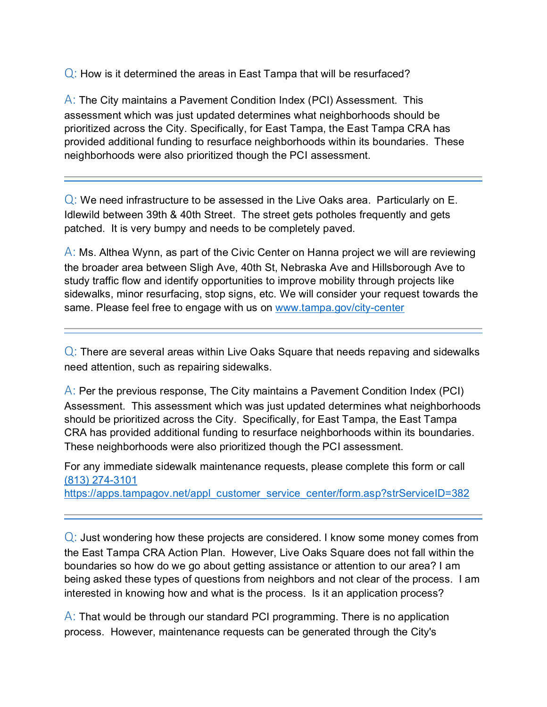$Q$ : How is it determined the areas in East Tampa that will be resurfaced?

A: The City maintains a Pavement Condition Index (PCI) Assessment. This assessment which was just updated determines what neighborhoods should be prioritized across the City. Specifically, for East Tampa, the East Tampa CRA has provided additional funding to resurface neighborhoods within its boundaries. These neighborhoods were also prioritized though the PCI assessment.

 $Q$ : We need infrastructure to be assessed in the Live Oaks area. Particularly on E. Idlewild between 39th & 40th Street. The street gets potholes frequently and gets patched. It is very bumpy and needs to be completely paved.

A: Ms. Althea Wynn, as part of the Civic Center on Hanna project we will are reviewing the broader area between Sligh Ave, 40th St, Nebraska Ave and Hillsborough Ave to study traffic flow and identify opportunities to improve mobility through projects like sidewalks, minor resurfacing, stop signs, etc. We will consider your request towards the same. Please feel free to engage with us on www.tampa.gov/city-center

 $Q$ : There are several areas within Live Oaks Square that needs repaving and sidewalks need attention, such as repairing sidewalks.

A: Per the previous response, The City maintains a Pavement Condition Index (PCI) Assessment. This assessment which was just updated determines what neighborhoods should be prioritized across the City. Specifically, for East Tampa, the East Tampa CRA has provided additional funding to resurface neighborhoods within its boundaries. These neighborhoods were also prioritized though the PCI assessment.

For any immediate sidewalk maintenance requests, please complete this form or call [\(813\) 274-3101](tel:(813)%20274-3101)

[https://apps.tampagov.net/appl\\_customer\\_service\\_center/form.asp?strServiceID=382](https://apps.tampagov.net/appl_customer_service_center/form.asp?strServiceID=382)

 $Q$ : Just wondering how these projects are considered. I know some money comes from the East Tampa CRA Action Plan. However, Live Oaks Square does not fall within the boundaries so how do we go about getting assistance or attention to our area? I am being asked these types of questions from neighbors and not clear of the process. I am interested in knowing how and what is the process. Is it an application process?

 $\overline{A}$ : That would be through our standard PCI programming. There is no application process. However, maintenance requests can be generated through the City's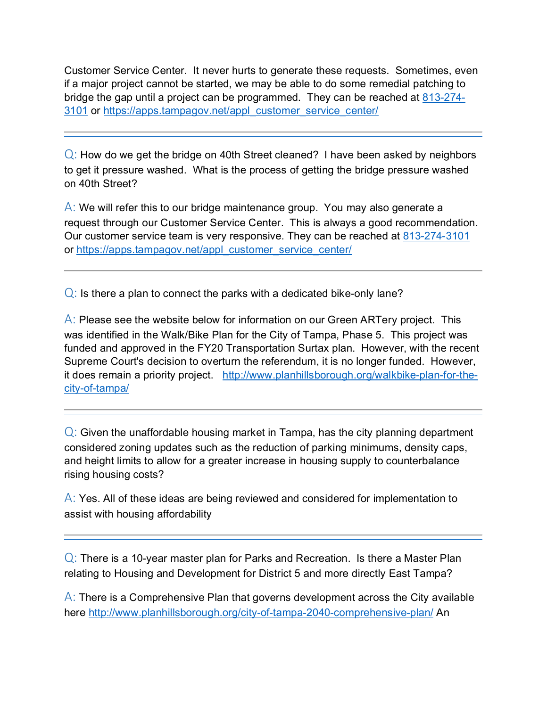Customer Service Center. It never hurts to generate these requests. Sometimes, even if a major project cannot be started, we may be able to do some remedial patching to bridge the gap until a project can be programmed. They can be reached at  $813-274-$ [3101](tel:813-274-3101) or [https://apps.tampagov.net/appl\\_customer\\_service\\_center/](https://apps.tampagov.net/appl_customer_service_center/)

 $Q$ : How do we get the bridge on 40th Street cleaned? I have been asked by neighbors to get it pressure washed. What is the process of getting the bridge pressure washed on 40th Street?

 $\overline{A}$ : We will refer this to our bridge maintenance group. You may also generate a request through our Customer Service Center. This is always a good recommendation. Our customer service team is very responsive. They can be reached at [813-274-3101](tel:813-274-3101) or [https://apps.tampagov.net/appl\\_customer\\_service\\_center/](https://apps.tampagov.net/appl_customer_service_center/)

 $Q$ : Is there a plan to connect the parks with a dedicated bike-only lane?

 $\overline{A}$ : Please see the website below for information on our Green ARTery project. This was identified in the Walk/Bike Plan for the City of Tampa, Phase 5. This project was funded and approved in the FY20 Transportation Surtax plan. However, with the recent Supreme Court's decision to overturn the referendum, it is no longer funded. However, it does remain a priority project. [http://www.planhillsborough.org/walkbike-plan-for-the](http://www.planhillsborough.org/walkbike-plan-for-the-city-of-tampa/)[city-of-tampa/](http://www.planhillsborough.org/walkbike-plan-for-the-city-of-tampa/)

 $Q$ : Given the unaffordable housing market in Tampa, has the city planning department considered zoning updates such as the reduction of parking minimums, density caps, and height limits to allow for a greater increase in housing supply to counterbalance rising housing costs?

 $\overline{A}$ : Yes. All of these ideas are being reviewed and considered for implementation to assist with housing affordability

 $Q$ : There is a 10-year master plan for Parks and Recreation. Is there a Master Plan relating to Housing and Development for District 5 and more directly East Tampa?

 $\overline{A}$ : There is a Comprehensive Plan that governs development across the City available here<http://www.planhillsborough.org/city-of-tampa-2040-comprehensive-plan/> An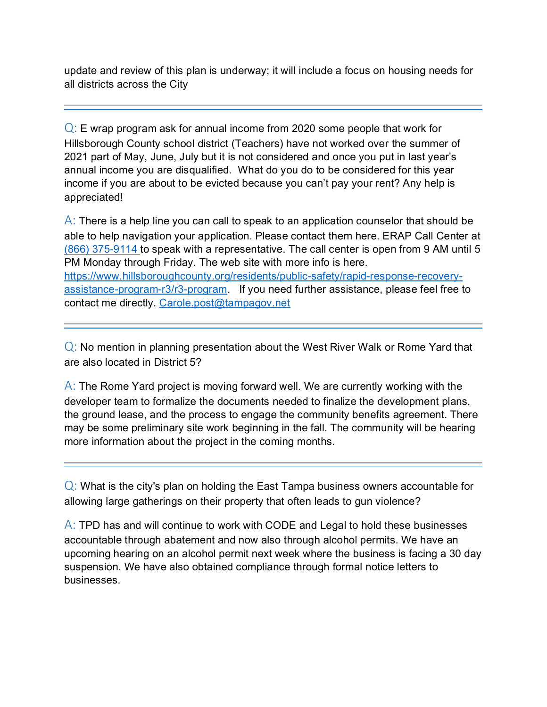update and review of this plan is underway; it will include a focus on housing needs for all districts across the City

 $Q$ : E wrap program ask for annual income from 2020 some people that work for Hillsborough County school district (Teachers) have not worked over the summer of 2021 part of May, June, July but it is not considered and once you put in last year's annual income you are disqualified. What do you do to be considered for this year income if you are about to be evicted because you can't pay your rent? Any help is appreciated!

 $\overline{A}$ : There is a help line you can call to speak to an application counselor that should be able to help navigation your application. Please contact them here. ERAP Call Center at [\(866\) 375-9114](tel:(866)%20375-9114) to speak with a representative. The call center is open from 9 AM until 5 PM Monday through Friday. The web site with more info is here. [https://www.hillsboroughcounty.org/residents/public-safety/rapid-response-recovery](https://www.hillsboroughcounty.org/residents/public-safety/rapid-response-recovery-assistance-program-r3/r3-program)[assistance-program-r3/r3-program.](https://www.hillsboroughcounty.org/residents/public-safety/rapid-response-recovery-assistance-program-r3/r3-program) If you need further assistance, please feel free to contact me directly. [Carole.post@tampagov.net](mailto:Carole.post@tampagov.net)

 $Q$ : No mention in planning presentation about the West River Walk or Rome Yard that are also located in District 5?

 $\overline{A}$ : The Rome Yard project is moving forward well. We are currently working with the developer team to formalize the documents needed to finalize the development plans, the ground lease, and the process to engage the community benefits agreement. There may be some preliminary site work beginning in the fall. The community will be hearing more information about the project in the coming months.

 $Q$ : What is the city's plan on holding the East Tampa business owners accountable for allowing large gatherings on their property that often leads to gun violence?

 $\overline{A}$ : TPD has and will continue to work with CODE and Legal to hold these businesses accountable through abatement and now also through alcohol permits. We have an upcoming hearing on an alcohol permit next week where the business is facing a 30 day suspension. We have also obtained compliance through formal notice letters to businesses.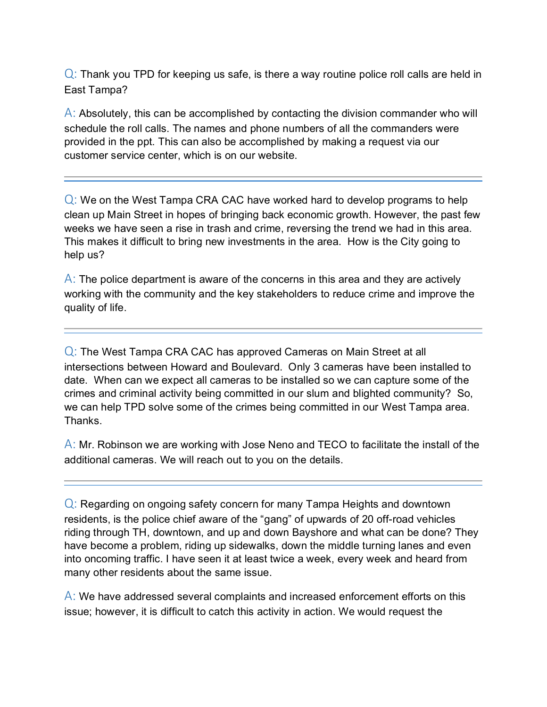$Q$ : Thank you TPD for keeping us safe, is there a way routine police roll calls are held in East Tampa?

 $\overline{A}$ : Absolutely, this can be accomplished by contacting the division commander who will schedule the roll calls. The names and phone numbers of all the commanders were provided in the ppt. This can also be accomplished by making a request via our customer service center, which is on our website.

Q: We on the West Tampa CRA CAC have worked hard to develop programs to help clean up Main Street in hopes of bringing back economic growth. However, the past few weeks we have seen a rise in trash and crime, reversing the trend we had in this area. This makes it difficult to bring new investments in the area. How is the City going to help us?

 $\overline{A}$ : The police department is aware of the concerns in this area and they are actively working with the community and the key stakeholders to reduce crime and improve the quality of life.

Q: The West Tampa CRA CAC has approved Cameras on Main Street at all intersections between Howard and Boulevard. Only 3 cameras have been installed to date. When can we expect all cameras to be installed so we can capture some of the crimes and criminal activity being committed in our slum and blighted community? So, we can help TPD solve some of the crimes being committed in our West Tampa area. Thanks.

 $\overline{A}$ : Mr. Robinson we are working with Jose Neno and TECO to facilitate the install of the additional cameras. We will reach out to you on the details.

Q: Regarding on ongoing safety concern for many Tampa Heights and downtown residents, is the police chief aware of the "gang" of upwards of 20 off-road vehicles riding through TH, downtown, and up and down Bayshore and what can be done? They have become a problem, riding up sidewalks, down the middle turning lanes and even into oncoming traffic. I have seen it at least twice a week, every week and heard from many other residents about the same issue.

 $\overline{A}$ : We have addressed several complaints and increased enforcement efforts on this issue; however, it is difficult to catch this activity in action. We would request the